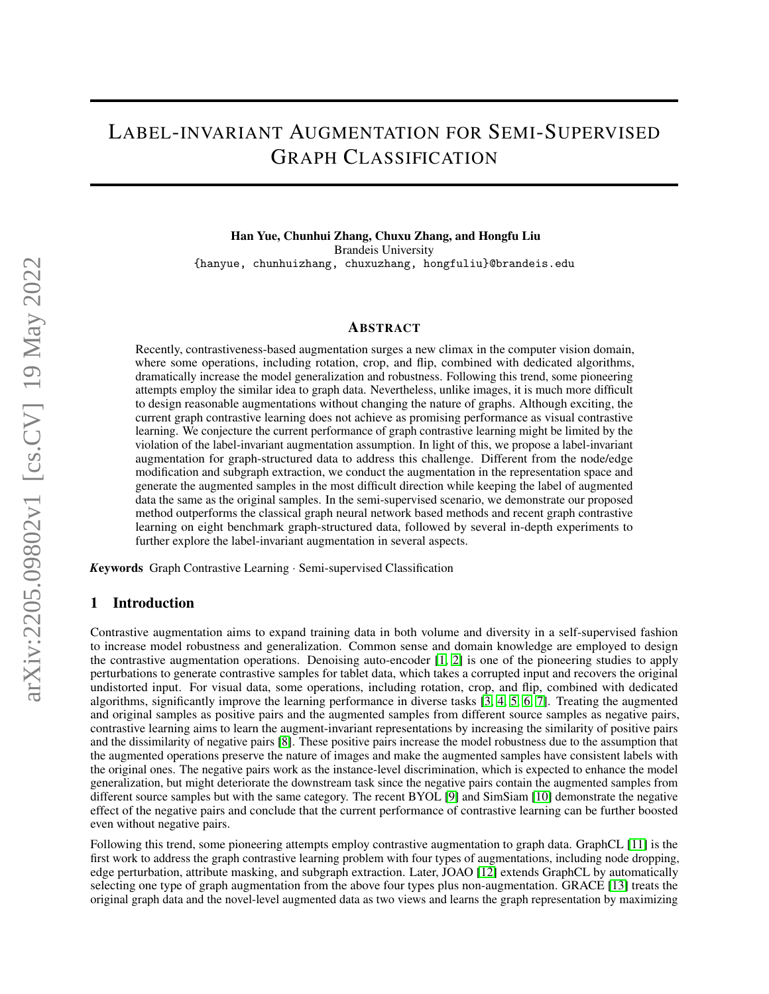# LABEL-INVARIANT AUGMENTATION FOR SEMI-SUPERVISED GRAPH CLASSIFICATION

Han Yue, Chunhui Zhang, Chuxu Zhang, and Hongfu Liu Brandeis University {hanyue, chunhuizhang, chuxuzhang, hongfuliu}@brandeis.edu

#### ABSTRACT

Recently, contrastiveness-based augmentation surges a new climax in the computer vision domain, where some operations, including rotation, crop, and flip, combined with dedicated algorithms, dramatically increase the model generalization and robustness. Following this trend, some pioneering attempts employ the similar idea to graph data. Nevertheless, unlike images, it is much more difficult to design reasonable augmentations without changing the nature of graphs. Although exciting, the current graph contrastive learning does not achieve as promising performance as visual contrastive learning. We conjecture the current performance of graph contrastive learning might be limited by the violation of the label-invariant augmentation assumption. In light of this, we propose a label-invariant augmentation for graph-structured data to address this challenge. Different from the node/edge modification and subgraph extraction, we conduct the augmentation in the representation space and generate the augmented samples in the most difficult direction while keeping the label of augmented data the same as the original samples. In the semi-supervised scenario, we demonstrate our proposed method outperforms the classical graph neural network based methods and recent graph contrastive learning on eight benchmark graph-structured data, followed by several in-depth experiments to further explore the label-invariant augmentation in several aspects.

*K*eywords Graph Contrastive Learning · Semi-supervised Classification

#### 1 Introduction

Contrastive augmentation aims to expand training data in both volume and diversity in a self-supervised fashion to increase model robustness and generalization. Common sense and domain knowledge are employed to design the contrastive augmentation operations. Denoising auto-encoder [\[1,](#page-8-0) [2\]](#page-8-1) is one of the pioneering studies to apply perturbations to generate contrastive samples for tablet data, which takes a corrupted input and recovers the original undistorted input. For visual data, some operations, including rotation, crop, and flip, combined with dedicated algorithms, significantly improve the learning performance in diverse tasks [\[3,](#page-8-2) [4,](#page-8-3) [5,](#page-8-4) [6,](#page-8-5) [7\]](#page-8-6). Treating the augmented and original samples as positive pairs and the augmented samples from different source samples as negative pairs, contrastive learning aims to learn the augment-invariant representations by increasing the similarity of positive pairs and the dissimilarity of negative pairs [\[8\]](#page-8-7). These positive pairs increase the model robustness due to the assumption that the augmented operations preserve the nature of images and make the augmented samples have consistent labels with the original ones. The negative pairs work as the instance-level discrimination, which is expected to enhance the model generalization, but might deteriorate the downstream task since the negative pairs contain the augmented samples from different source samples but with the same category. The recent BYOL [\[9\]](#page-8-8) and SimSiam [\[10\]](#page-8-9) demonstrate the negative effect of the negative pairs and conclude that the current performance of contrastive learning can be further boosted even without negative pairs.

Following this trend, some pioneering attempts employ contrastive augmentation to graph data. GraphCL [\[11\]](#page-8-10) is the first work to address the graph contrastive learning problem with four types of augmentations, including node dropping, edge perturbation, attribute masking, and subgraph extraction. Later, JOAO [\[12\]](#page-8-11) extends GraphCL by automatically selecting one type of graph augmentation from the above four types plus non-augmentation. GRACE [\[13\]](#page-8-12) treats the original graph data and the novel-level augmented data as two views and learns the graph representation by maximizing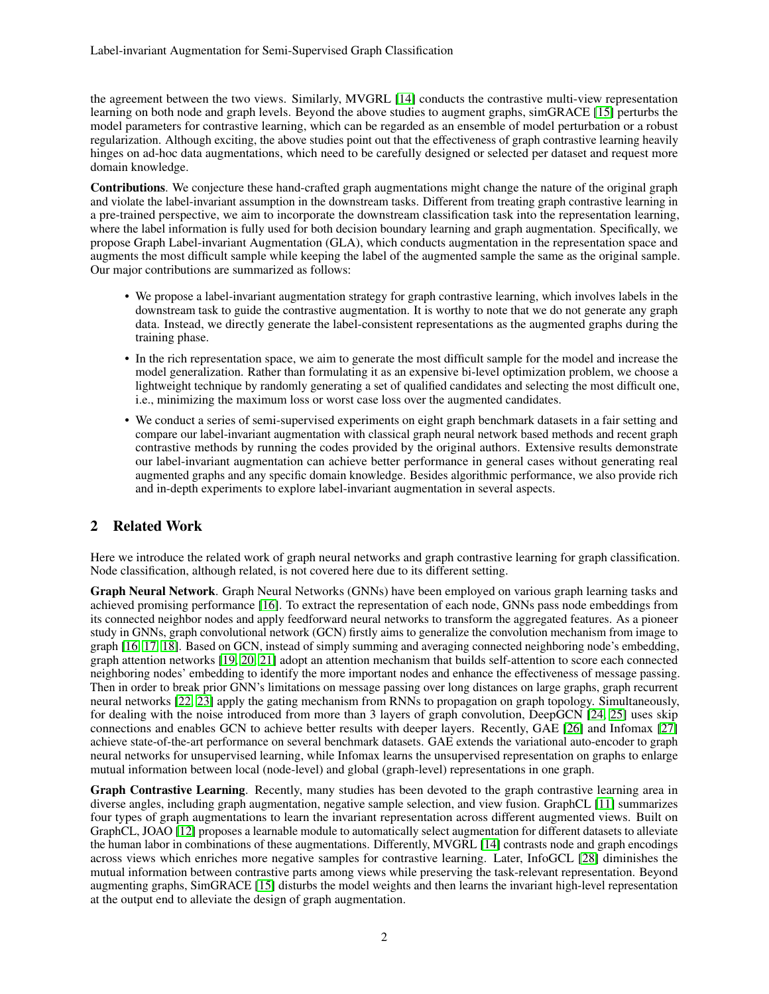the agreement between the two views. Similarly, MVGRL [\[14\]](#page-8-13) conducts the contrastive multi-view representation learning on both node and graph levels. Beyond the above studies to augment graphs, simGRACE [\[15\]](#page-8-14) perturbs the model parameters for contrastive learning, which can be regarded as an ensemble of model perturbation or a robust regularization. Although exciting, the above studies point out that the effectiveness of graph contrastive learning heavily hinges on ad-hoc data augmentations, which need to be carefully designed or selected per dataset and request more domain knowledge.

Contributions. We conjecture these hand-crafted graph augmentations might change the nature of the original graph and violate the label-invariant assumption in the downstream tasks. Different from treating graph contrastive learning in a pre-trained perspective, we aim to incorporate the downstream classification task into the representation learning, where the label information is fully used for both decision boundary learning and graph augmentation. Specifically, we propose Graph Label-invariant Augmentation (GLA), which conducts augmentation in the representation space and augments the most difficult sample while keeping the label of the augmented sample the same as the original sample. Our major contributions are summarized as follows:

- We propose a label-invariant augmentation strategy for graph contrastive learning, which involves labels in the downstream task to guide the contrastive augmentation. It is worthy to note that we do not generate any graph data. Instead, we directly generate the label-consistent representations as the augmented graphs during the training phase.
- In the rich representation space, we aim to generate the most difficult sample for the model and increase the model generalization. Rather than formulating it as an expensive bi-level optimization problem, we choose a lightweight technique by randomly generating a set of qualified candidates and selecting the most difficult one, i.e., minimizing the maximum loss or worst case loss over the augmented candidates.
- We conduct a series of semi-supervised experiments on eight graph benchmark datasets in a fair setting and compare our label-invariant augmentation with classical graph neural network based methods and recent graph contrastive methods by running the codes provided by the original authors. Extensive results demonstrate our label-invariant augmentation can achieve better performance in general cases without generating real augmented graphs and any specific domain knowledge. Besides algorithmic performance, we also provide rich and in-depth experiments to explore label-invariant augmentation in several aspects.

## 2 Related Work

Here we introduce the related work of graph neural networks and graph contrastive learning for graph classification. Node classification, although related, is not covered here due to its different setting.

Graph Neural Network. Graph Neural Networks (GNNs) have been employed on various graph learning tasks and achieved promising performance [\[16\]](#page-8-15). To extract the representation of each node, GNNs pass node embeddings from its connected neighbor nodes and apply feedforward neural networks to transform the aggregated features. As a pioneer study in GNNs, graph convolutional network (GCN) firstly aims to generalize the convolution mechanism from image to graph [\[16,](#page-8-15) [17,](#page-8-16) [18\]](#page-8-17). Based on GCN, instead of simply summing and averaging connected neighboring node's embedding, graph attention networks [\[19,](#page-8-18) [20,](#page-8-19) [21\]](#page-8-20) adopt an attention mechanism that builds self-attention to score each connected neighboring nodes' embedding to identify the more important nodes and enhance the effectiveness of message passing. Then in order to break prior GNN's limitations on message passing over long distances on large graphs, graph recurrent neural networks [\[22,](#page-8-21) [23\]](#page-8-22) apply the gating mechanism from RNNs to propagation on graph topology. Simultaneously, for dealing with the noise introduced from more than 3 layers of graph convolution, DeepGCN [\[24,](#page-9-0) [25\]](#page-9-1) uses skip connections and enables GCN to achieve better results with deeper layers. Recently, GAE [\[26\]](#page-9-2) and Infomax [\[27\]](#page-9-3) achieve state-of-the-art performance on several benchmark datasets. GAE extends the variational auto-encoder to graph neural networks for unsupervised learning, while Infomax learns the unsupervised representation on graphs to enlarge mutual information between local (node-level) and global (graph-level) representations in one graph.

Graph Contrastive Learning. Recently, many studies has been devoted to the graph contrastive learning area in diverse angles, including graph augmentation, negative sample selection, and view fusion. GraphCL [\[11\]](#page-8-10) summarizes four types of graph augmentations to learn the invariant representation across different augmented views. Built on GraphCL, JOAO [\[12\]](#page-8-11) proposes a learnable module to automatically select augmentation for different datasets to alleviate the human labor in combinations of these augmentations. Differently, MVGRL [\[14\]](#page-8-13) contrasts node and graph encodings across views which enriches more negative samples for contrastive learning. Later, InfoGCL [\[28\]](#page-9-4) diminishes the mutual information between contrastive parts among views while preserving the task-relevant representation. Beyond augmenting graphs, SimGRACE [\[15\]](#page-8-14) disturbs the model weights and then learns the invariant high-level representation at the output end to alleviate the design of graph augmentation.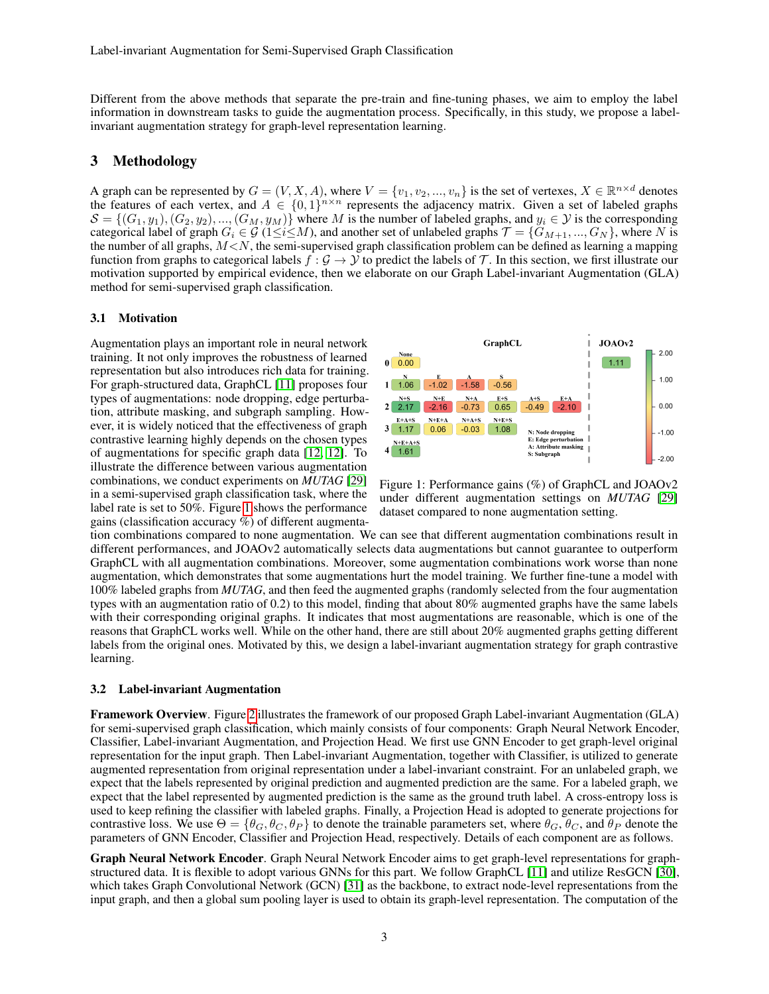Different from the above methods that separate the pre-train and fine-tuning phases, we aim to employ the label information in downstream tasks to guide the augmentation process. Specifically, in this study, we propose a labelinvariant augmentation strategy for graph-level representation learning.

## 3 Methodology

A graph can be represented by  $G = (V, X, A)$ , where  $V = \{v_1, v_2, ..., v_n\}$  is the set of vertexes,  $X \in \mathbb{R}^{n \times d}$  denotes the features of each vertex, and  $A \in \{0,1\}^{n \times n}$  represents the adjacency matrix. Given a set of labeled graphs  $S = \{(G_1, y_1), (G_2, y_2), ..., (G_M, y_M)\}\$  where M is the number of labeled graphs, and  $y_i \in \mathcal{Y}$  is the corresponding categorical label of graph  $G_i \in \mathcal{G}$  (1≤i≤M), and another set of unlabeled graphs  $\mathcal{T} = \{G_{M+1},...,G_N\}$ , where N is the number of all graphs,  $M < N$ , the semi-supervised graph classification problem can be defined as learning a mapping function from graphs to categorical labels  $f : \mathcal{G} \to \mathcal{Y}$  to predict the labels of  $\mathcal{T}$ . In this section, we first illustrate our motivation supported by empirical evidence, then we elaborate on our Graph Label-invariant Augmentation (GLA) method for semi-supervised graph classification.

#### 3.1 Motivation

Augmentation plays an important role in neural network training. It not only improves the robustness of learned representation but also introduces rich data for training. For graph-structured data, GraphCL [\[11\]](#page-8-10) proposes four types of augmentations: node dropping, edge perturbation, attribute masking, and subgraph sampling. However, it is widely noticed that the effectiveness of graph contrastive learning highly depends on the chosen types of augmentations for specific graph data [\[12,](#page-8-11) [12\]](#page-8-11). To illustrate the difference between various augmentation combinations, we conduct experiments on *MUTAG* [\[29\]](#page-9-5) in a semi-supervised graph classification task, where the label rate is set to 50%. Figure [1](#page-2-0) shows the performance gains (classification accuracy %) of different augmenta-



<span id="page-2-0"></span>Figure 1: Performance gains (%) of GraphCL and JOAOv2 under different augmentation settings on *MUTAG* [\[29\]](#page-9-5) dataset compared to none augmentation setting.

tion combinations compared to none augmentation. We can see that different augmentation combinations result in different performances, and JOAOv2 automatically selects data augmentations but cannot guarantee to outperform GraphCL with all augmentation combinations. Moreover, some augmentation combinations work worse than none augmentation, which demonstrates that some augmentations hurt the model training. We further fine-tune a model with 100% labeled graphs from *MUTAG*, and then feed the augmented graphs (randomly selected from the four augmentation types with an augmentation ratio of 0.2) to this model, finding that about 80% augmented graphs have the same labels with their corresponding original graphs. It indicates that most augmentations are reasonable, which is one of the reasons that GraphCL works well. While on the other hand, there are still about 20% augmented graphs getting different labels from the original ones. Motivated by this, we design a label-invariant augmentation strategy for graph contrastive learning.

#### 3.2 Label-invariant Augmentation

Framework Overview. Figure [2](#page-3-0) illustrates the framework of our proposed Graph Label-invariant Augmentation (GLA) for semi-supervised graph classification, which mainly consists of four components: Graph Neural Network Encoder, Classifier, Label-invariant Augmentation, and Projection Head. We first use GNN Encoder to get graph-level original representation for the input graph. Then Label-invariant Augmentation, together with Classifier, is utilized to generate augmented representation from original representation under a label-invariant constraint. For an unlabeled graph, we expect that the labels represented by original prediction and augmented prediction are the same. For a labeled graph, we expect that the label represented by augmented prediction is the same as the ground truth label. A cross-entropy loss is used to keep refining the classifier with labeled graphs. Finally, a Projection Head is adopted to generate projections for contrastive loss. We use  $\Theta = {\theta_G, \theta_C, \theta_P}$  to denote the trainable parameters set, where  $\theta_G, \theta_G,$  and  $\theta_P$  denote the parameters of GNN Encoder, Classifier and Projection Head, respectively. Details of each component are as follows.

Graph Neural Network Encoder. Graph Neural Network Encoder aims to get graph-level representations for graphstructured data. It is flexible to adopt various GNNs for this part. We follow GraphCL [\[11\]](#page-8-10) and utilize ResGCN [\[30\]](#page-9-6), which takes Graph Convolutional Network (GCN) [\[31\]](#page-9-7) as the backbone, to extract node-level representations from the input graph, and then a global sum pooling layer is used to obtain its graph-level representation. The computation of the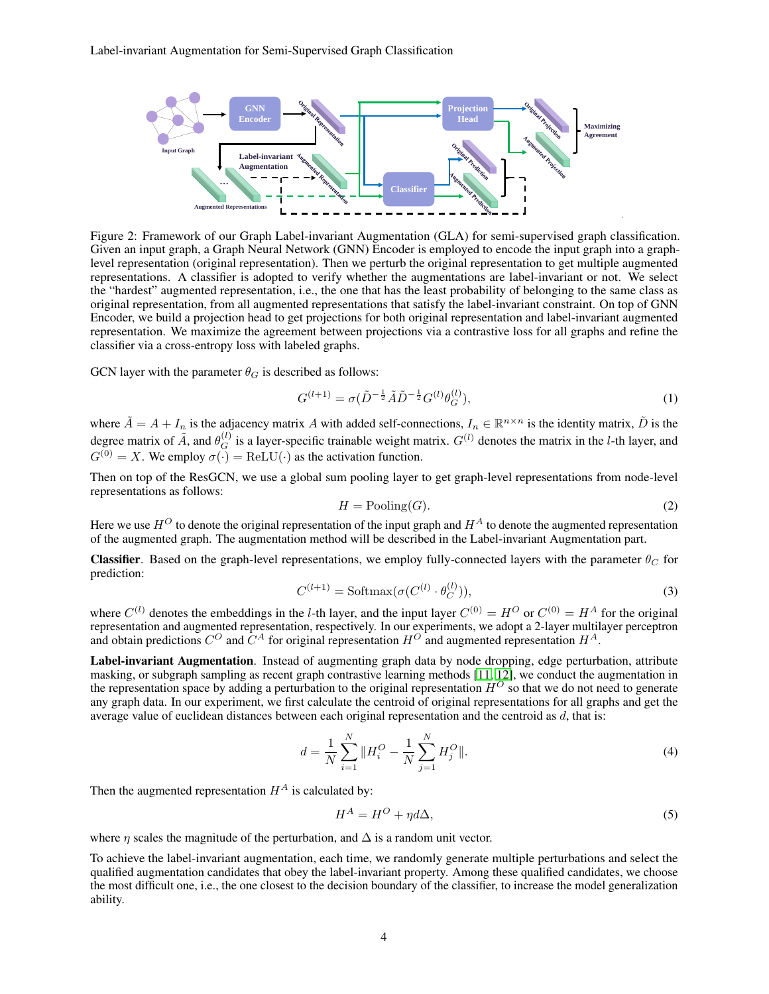

<span id="page-3-0"></span>Figure 2: Framework of our Graph Label-invariant Augmentation (GLA) for semi-supervised graph classification. Given an input graph, a Graph Neural Network (GNN) Encoder is employed to encode the input graph into a graphlevel representation (original representation). Then we perturb the original representation to get multiple augmented representations. A classifier is adopted to verify whether the augmentations are label-invariant or not. We select the "hardest" augmented representation, i.e., the one that has the least probability of belonging to the same class as original representation, from all augmented representations that satisfy the label-invariant constraint. On top of GNN Encoder, we build a projection head to get projections for both original representation and label-invariant augmented representation. We maximize the agreement between projections via a contrastive loss for all graphs and refine the classifier via a cross-entropy loss with labeled graphs.

GCN layer with the parameter  $\theta_G$  is described as follows:

$$
G^{(l+1)} = \sigma(\tilde{D}^{-\frac{1}{2}}\tilde{A}\tilde{D}^{-\frac{1}{2}}G^{(l)}\theta_G^{(l)}),\tag{1}
$$

where  $\tilde{A} = A + I_n$  is the adjacency matrix A with added self-connections,  $I_n \in \mathbb{R}^{n \times n}$  is the identity matrix,  $\tilde{D}$  is the degree matrix of  $\tilde{A}$ , and  $\theta_G^{(l)}$  is a layer-specific trainable weight matrix.  $G^{(l)}$  denotes the matrix in the *l*-th layer, and  $G^{(0)} = X$ . We employ  $\sigma(\cdot) = \text{ReLU}(\cdot)$  as the activation function.

Then on top of the ResGCN, we use a global sum pooling layer to get graph-level representations from node-level representations as follows:

$$
H = \text{Pooling}(G). \tag{2}
$$

Here we use  $H^O$  to denote the original representation of the input graph and  $H^A$  to denote the augmented representation of the augmented graph. The augmentation method will be described in the Label-invariant Augmentation part.

**Classifier.** Based on the graph-level representations, we employ fully-connected layers with the parameter  $\theta_C$  for prediction:

$$
C^{(l+1)} = \text{Softmax}(\sigma(C^{(l)} \cdot \theta_C^{(l)})),\tag{3}
$$

where  $C^{(l)}$  denotes the embeddings in the *l*-th layer, and the input layer  $C^{(0)} = H^O$  or  $C^{(0)} = H^A$  for the original representation and augmented representation, respectively. In our experiments, we adopt a 2-layer multilayer perceptron and obtain predictions  $C^O$  and  $\tilde{C}^A$  for original representation  $H^O$  and augmented representation  $H^A$ .

Label-invariant Augmentation. Instead of augmenting graph data by node dropping, edge perturbation, attribute masking, or subgraph sampling as recent graph contrastive learning methods [\[11,](#page-8-10) [12\]](#page-8-11), we conduct the augmentation in the representation space by adding a perturbation to the original representation  $H^O$  so that we do not need to generate any graph data. In our experiment, we first calculate the centroid of original representations for all graphs and get the average value of euclidean distances between each original representation and the centroid as  $d$ , that is:

$$
d = \frac{1}{N} \sum_{i=1}^{N} \|H_i^O - \frac{1}{N} \sum_{j=1}^{N} H_j^O\|.
$$
 (4)

Then the augmented representation  $H^A$  is calculated by:

<span id="page-3-1"></span>
$$
H^A = H^O + \eta d\Delta,\tag{5}
$$

where  $\eta$  scales the magnitude of the perturbation, and  $\Delta$  is a random unit vector.

To achieve the label-invariant augmentation, each time, we randomly generate multiple perturbations and select the qualified augmentation candidates that obey the label-invariant property. Among these qualified candidates, we choose the most difficult one, i.e., the one closest to the decision boundary of the classifier, to increase the model generalization ability.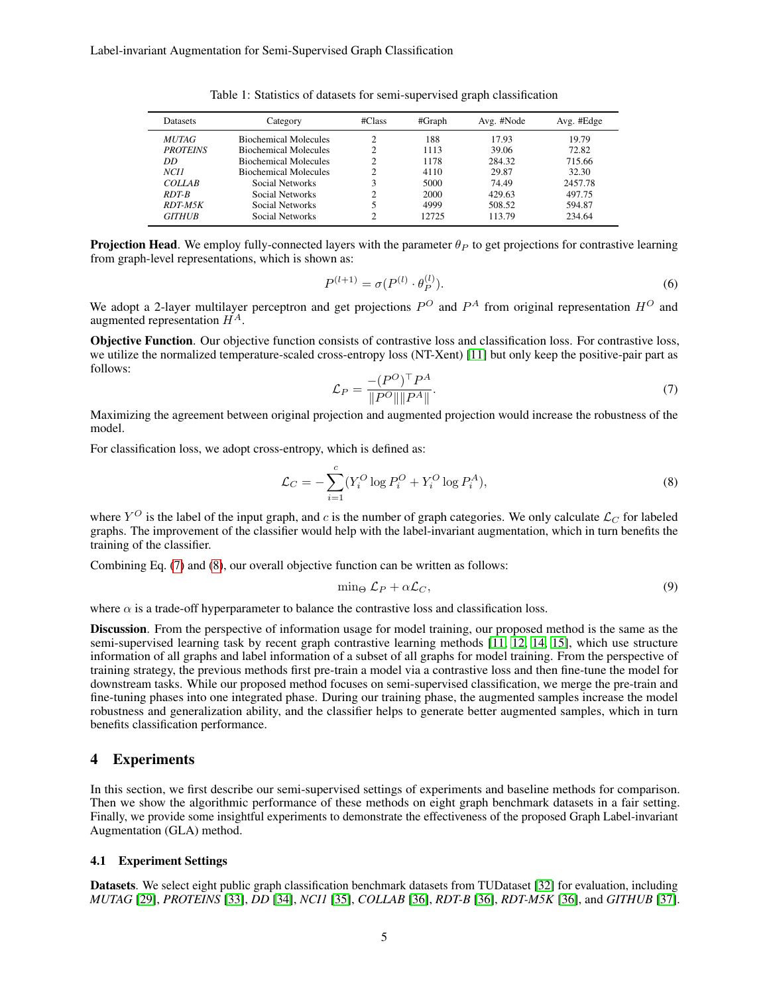| <b>Datasets</b>  | Category                     |   | #Graph | Avg. #Node | Avg. #Edge |
|------------------|------------------------------|---|--------|------------|------------|
| <i>MUTAG</i>     | <b>Biochemical Molecules</b> | ◠ | 188    | 17.93      | 19.79      |
| <b>PROTEINS</b>  | <b>Biochemical Molecules</b> | ◠ | 1113   | 39.06      | 72.82      |
| DD               | <b>Biochemical Molecules</b> | ↑ | 1178   | 284.32     | 715.66     |
| NCH <sub>1</sub> | <b>Biochemical Molecules</b> | ↑ | 4110   | 29.87      | 32.30      |
| <b>COLLAB</b>    | Social Networks              | 3 | 5000   | 74.49      | 2457.78    |
| $RDT-B$          | Social Networks              | ◠ | 2000   | 429.63     | 497.75     |
| $RDT-M5K$        | Social Networks              |   | 4999   | 508.52     | 594.87     |
| <b>GITHUB</b>    | Social Networks              | ◠ | 12725  | 113.79     | 234.64     |

<span id="page-4-2"></span>Table 1: Statistics of datasets for semi-supervised graph classification

**Projection Head.** We employ fully-connected layers with the parameter  $\theta_P$  to get projections for contrastive learning from graph-level representations, which is shown as:

$$
P^{(l+1)} = \sigma(P^{(l)} \cdot \theta_P^{(l)}).
$$
\n(6)

We adopt a 2-layer multilayer perceptron and get projections  $P^O$  and  $P^A$  from original representation  $H^O$  and augmented representation  $H^{A}$ .

<span id="page-4-0"></span>Objective Function. Our objective function consists of contrastive loss and classification loss. For contrastive loss, we utilize the normalized temperature-scaled cross-entropy loss (NT-Xent) [\[11\]](#page-8-10) but only keep the positive-pair part as follows:

<span id="page-4-1"></span>
$$
\mathcal{L}_P = \frac{-(P^O)^\top P^A}{\|P^O\| \|P^A\|}.\tag{7}
$$

Maximizing the agreement between original projection and augmented projection would increase the robustness of the model.

For classification loss, we adopt cross-entropy, which is defined as:

$$
\mathcal{L}_C = -\sum_{i=1}^c (Y_i^O \log P_i^O + Y_i^O \log P_i^A),\tag{8}
$$

where  $Y^O$  is the label of the input graph, and c is the number of graph categories. We only calculate  $\mathcal{L}_C$  for labeled graphs. The improvement of the classifier would help with the label-invariant augmentation, which in turn benefits the training of the classifier.

Combining Eq. [\(7\)](#page-4-0) and [\(8\)](#page-4-1), our overall objective function can be written as follows:

<span id="page-4-3"></span>
$$
\min_{\Theta} \mathcal{L}_P + \alpha \mathcal{L}_C,\tag{9}
$$

where  $\alpha$  is a trade-off hyperparameter to balance the contrastive loss and classification loss.

Discussion. From the perspective of information usage for model training, our proposed method is the same as the semi-supervised learning task by recent graph contrastive learning methods [\[11,](#page-8-10) [12,](#page-8-11) [14,](#page-8-13) [15\]](#page-8-14), which use structure information of all graphs and label information of a subset of all graphs for model training. From the perspective of training strategy, the previous methods first pre-train a model via a contrastive loss and then fine-tune the model for downstream tasks. While our proposed method focuses on semi-supervised classification, we merge the pre-train and fine-tuning phases into one integrated phase. During our training phase, the augmented samples increase the model robustness and generalization ability, and the classifier helps to generate better augmented samples, which in turn benefits classification performance.

## 4 Experiments

In this section, we first describe our semi-supervised settings of experiments and baseline methods for comparison. Then we show the algorithmic performance of these methods on eight graph benchmark datasets in a fair setting. Finally, we provide some insightful experiments to demonstrate the effectiveness of the proposed Graph Label-invariant Augmentation (GLA) method.

#### 4.1 Experiment Settings

Datasets. We select eight public graph classification benchmark datasets from TUDataset [\[32\]](#page-9-8) for evaluation, including *MUTAG* [\[29\]](#page-9-5), *PROTEINS* [\[33\]](#page-9-9), *DD* [\[34\]](#page-9-10), *NCI1* [\[35\]](#page-9-11), *COLLAB* [\[36\]](#page-9-12), *RDT-B* [\[36\]](#page-9-12), *RDT-M5K* [\[36\]](#page-9-12), and *GITHUB* [\[37\]](#page-9-13).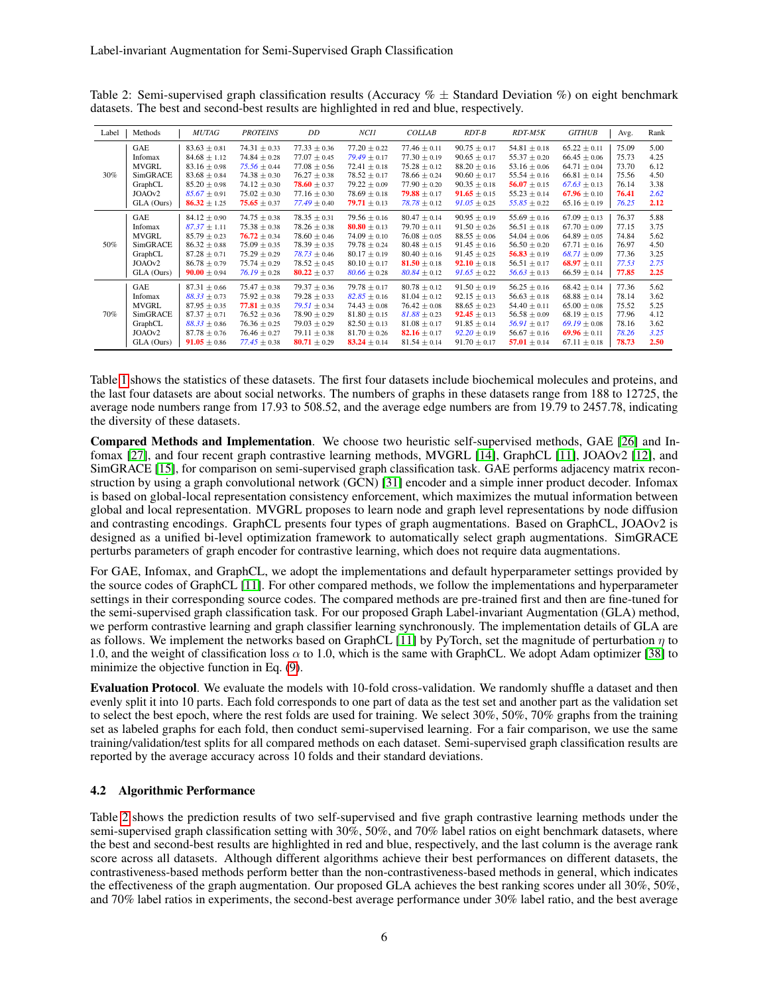| Label | Methods      | MUTAG            | <b>PROTEINS</b>  | DD               | NC11             | <b>COLLAB</b>    | $RDT-B$                 | RDT-M5K          | <b>GITHUB</b>    | Avg.  | Rank |
|-------|--------------|------------------|------------------|------------------|------------------|------------------|-------------------------|------------------|------------------|-------|------|
| 30%   | <b>GAE</b>   | $83.63 \pm 0.81$ | $74.31 \pm 0.33$ | $77.33 \pm 0.36$ | $77.20 \pm 0.22$ | $77.46 \pm 0.11$ | $90.75 \pm 0.17$        | $54.81 \pm 0.18$ | $65.22 \pm 0.11$ | 75.09 | 5.00 |
|       | Infomax      | $84.68 \pm 1.12$ | $74.84 \pm 0.28$ | $77.07 \pm 0.45$ | $79.49 \pm 0.17$ | $77.30 \pm 0.19$ | $90.65 \pm 0.17$        | $55.37 \pm 0.20$ | $66.45 \pm 0.06$ | 75.73 | 4.25 |
|       | <b>MVGRL</b> | $83.16 \pm 0.98$ | $75.56 \pm 0.44$ | $77.08 \pm 0.56$ | $72.41 \pm 0.18$ | $75.28 \pm 0.12$ | $88.20 \pm 0.16$        | $53.16 \pm 0.06$ | $64.71 \pm 0.04$ | 73.70 | 6.12 |
|       | SimGRACE     | $83.68 \pm 0.84$ | $74.38 \pm 0.30$ | $76.27 \pm 0.38$ | $78.52 \pm 0.17$ | $78.66 \pm 0.24$ | $90.60 \pm 0.17$        | $55.54 \pm 0.16$ | $66.81 \pm 0.14$ | 75.56 | 4.50 |
|       | GraphCL      | $85.20 \pm 0.98$ | $74.12 \pm 0.30$ | $78.60 \pm 0.37$ | $79.22 \pm 0.09$ | $77.90 \pm 0.20$ | $90.35 \pm 0.18$        | 56.07 $\pm$ 0.15 | $67.63 \pm 0.13$ | 76.14 | 3.38 |
|       | JOAOv2       | $85.67 \pm 0.91$ | $75.02 \pm 0.30$ | $77.16 \pm 0.30$ | $78.69 \pm 0.18$ | $79.88 \pm 0.17$ | <b>91.65</b> $\pm$ 0.15 | $55.23 \pm 0.14$ | $67.96 \pm 0.10$ | 76.41 | 2.62 |
|       | GLA (Ours)   | $86.32 \pm 1.25$ | $75.65 \pm 0.37$ | $77.49 \pm 0.40$ | 79.71 $\pm$ 0.13 | $78.78 \pm 0.12$ | $91.05 \pm 0.25$        | $55.85 \pm 0.22$ | $65.16 \pm 0.19$ | 76.25 | 2.12 |
| 50%   | GAE          | $84.12 \pm 0.90$ | $74.75 \pm 0.38$ | $78.35 \pm 0.31$ | $79.56 \pm 0.16$ | $80.47 \pm 0.14$ | $90.95 \pm 0.19$        | $55.69 \pm 0.16$ | $67.09 \pm 0.13$ | 76.37 | 5.88 |
|       | Infomax      | $87.37 \pm 1.11$ | $75.38 \pm 0.38$ | $78.26 \pm 0.38$ | 80.80 $\pm$ 0.13 | $79.70 \pm 0.11$ | $91.50 \pm 0.26$        | $56.51 \pm 0.18$ | $67.70 \pm 0.09$ | 77.15 | 3.75 |
|       | <b>MVGRL</b> | $85.79 \pm 0.23$ | $76.72 \pm 0.34$ | $78.60 \pm 0.46$ | $74.09 \pm 0.10$ | $76.08 \pm 0.05$ | $88.55 \pm 0.06$        | $54.04 \pm 0.06$ | $64.89 \pm 0.05$ | 74.84 | 5.62 |
|       | SimGRACE     | $86.32 \pm 0.88$ | $75.09 \pm 0.35$ | $78.39 \pm 0.35$ | $79.78 \pm 0.24$ | $80.48 \pm 0.15$ | $91.45 \pm 0.16$        | $56.50 \pm 0.20$ | $67.71 \pm 0.16$ | 76.97 | 4.50 |
|       | GraphCL      | $87.28 \pm 0.71$ | $75.29 \pm 0.29$ | $78.73 \pm 0.46$ | $80.17 \pm 0.19$ | $80.40 \pm 0.16$ | $91.45 \pm 0.25$        | 56.83 $\pm$ 0.19 | $68.71 \pm 0.09$ | 77.36 | 3.25 |
|       | JOAOv2       | $86.78 \pm 0.79$ | $75.74 \pm 0.29$ | $78.52 \pm 0.45$ | $80.10 \pm 0.17$ | $81.50 \pm 0.18$ | <b>92.10</b> $\pm$ 0.18 | $56.51 \pm 0.17$ | 68.97 $\pm$ 0.11 | 77.53 | 2.75 |
|       | GLA (Ours)   | $90.00 \pm 0.94$ | $76.19 \pm 0.28$ | $80.22 \pm 0.37$ | $80.66 \pm 0.28$ | $80.84 \pm 0.12$ | $91.65 \pm 0.22$        | $56.63 \pm 0.13$ | $66.59 \pm 0.14$ | 77.85 | 2.25 |
| 70%   | GAE          | $87.31 \pm 0.66$ | $75.47 \pm 0.38$ | $79.37 \pm 0.36$ | $79.78 \pm 0.17$ | $80.78 \pm 0.12$ | $91.50 \pm 0.19$        | $56.25 \pm 0.16$ | $68.42 \pm 0.14$ | 77.36 | 5.62 |
|       | Infomax      | $88.33 \pm 0.73$ | $75.92 \pm 0.38$ | $79.28 \pm 0.33$ | $82.85 \pm 0.16$ | $81.04 \pm 0.12$ | $92.15 \pm 0.13$        | $56.63 \pm 0.18$ | $68.88 \pm 0.14$ | 78.14 | 3.62 |
|       | <b>MVGRL</b> | $87.95 \pm 0.35$ | 77.81 $\pm$ 0.35 | $79.51 \pm 0.34$ | $74.43 \pm 0.08$ | $76.42 \pm 0.08$ | $88.65 \pm 0.23$        | $54.40 \pm 0.11$ | $65.00 \pm 0.08$ | 75.52 | 5.25 |
|       | SimGRACE     | $87.37 \pm 0.71$ | $76.52 \pm 0.36$ | $78.90 \pm 0.29$ | $81.80 \pm 0.15$ | $81.88 \pm 0.23$ | $92.45 \pm 0.13$        | $56.58 \pm 0.09$ | $68.19 \pm 0.15$ | 77.96 | 4.12 |
|       | GraphCL      | $88.33 \pm 0.86$ | $76.36 \pm 0.25$ | $79.03 \pm 0.29$ | $82.50 \pm 0.13$ | $81.08 \pm 0.17$ | $91.85 \pm 0.14$        | $56.91 \pm 0.17$ | $69.19 \pm 0.08$ | 78.16 | 3.62 |
|       | JOAOv2       | $87.78 \pm 0.76$ | $76.46 \pm 0.27$ | $79.11 \pm 0.38$ | $81.70 \pm 0.26$ | 82.16 $\pm$ 0.17 | $92.20 \pm 0.19$        | $56.67 \pm 0.16$ | 69.96 $\pm$ 0.11 | 78.26 | 3.25 |
|       | GLA (Ours)   | $91.05 \pm 0.86$ | $77.45 \pm 0.38$ | 80.71 $\pm$ 0.29 | 83.24 $\pm$ 0.14 | $81.54 \pm 0.14$ | $91.70 \pm 0.17$        | 57.01 $\pm$ 0.14 | $67.11 \pm 0.18$ | 78.73 | 2.50 |

<span id="page-5-0"></span>Table 2: Semi-supervised graph classification results (Accuracy  $\% \pm$  Standard Deviation  $\%$ ) on eight benchmark datasets. The best and second-best results are highlighted in red and blue, respectively.

Table [1](#page-4-2) shows the statistics of these datasets. The first four datasets include biochemical molecules and proteins, and the last four datasets are about social networks. The numbers of graphs in these datasets range from 188 to 12725, the average node numbers range from 17.93 to 508.52, and the average edge numbers are from 19.79 to 2457.78, indicating the diversity of these datasets.

Compared Methods and Implementation. We choose two heuristic self-supervised methods, GAE [\[26\]](#page-9-2) and In-fomax [\[27\]](#page-9-3), and four recent graph contrastive learning methods, MVGRL [\[14\]](#page-8-13), GraphCL [\[11\]](#page-8-10), JOAOv2 [\[12\]](#page-8-11), and SimGRACE [\[15\]](#page-8-14), for comparison on semi-supervised graph classification task. GAE performs adjacency matrix reconstruction by using a graph convolutional network (GCN) [\[31\]](#page-9-7) encoder and a simple inner product decoder. Infomax is based on global-local representation consistency enforcement, which maximizes the mutual information between global and local representation. MVGRL proposes to learn node and graph level representations by node diffusion and contrasting encodings. GraphCL presents four types of graph augmentations. Based on GraphCL, JOAOv2 is designed as a unified bi-level optimization framework to automatically select graph augmentations. SimGRACE perturbs parameters of graph encoder for contrastive learning, which does not require data augmentations.

For GAE, Infomax, and GraphCL, we adopt the implementations and default hyperparameter settings provided by the source codes of GraphCL [\[11\]](#page-8-10). For other compared methods, we follow the implementations and hyperparameter settings in their corresponding source codes. The compared methods are pre-trained first and then are fine-tuned for the semi-supervised graph classification task. For our proposed Graph Label-invariant Augmentation (GLA) method, we perform contrastive learning and graph classifier learning synchronously. The implementation details of GLA are as follows. We implement the networks based on GraphCL [\[11\]](#page-8-10) by PyTorch, set the magnitude of perturbation  $\eta$  to 1.0, and the weight of classification loss  $\alpha$  to 1.0, which is the same with GraphCL. We adopt Adam optimizer [\[38\]](#page-9-14) to minimize the objective function in Eq. [\(9\)](#page-4-3).

Evaluation Protocol. We evaluate the models with 10-fold cross-validation. We randomly shuffle a dataset and then evenly split it into 10 parts. Each fold corresponds to one part of data as the test set and another part as the validation set to select the best epoch, where the rest folds are used for training. We select 30%, 50%, 70% graphs from the training set as labeled graphs for each fold, then conduct semi-supervised learning. For a fair comparison, we use the same training/validation/test splits for all compared methods on each dataset. Semi-supervised graph classification results are reported by the average accuracy across 10 folds and their standard deviations.

## 4.2 Algorithmic Performance

Table [2](#page-5-0) shows the prediction results of two self-supervised and five graph contrastive learning methods under the semi-supervised graph classification setting with 30%, 50%, and 70% label ratios on eight benchmark datasets, where the best and second-best results are highlighted in red and blue, respectively, and the last column is the average rank score across all datasets. Although different algorithms achieve their best performances on different datasets, the contrastiveness-based methods perform better than the non-contrastiveness-based methods in general, which indicates the effectiveness of the graph augmentation. Our proposed GLA achieves the best ranking scores under all 30%, 50%, and 70% label ratios in experiments, the second-best average performance under 30% label ratio, and the best average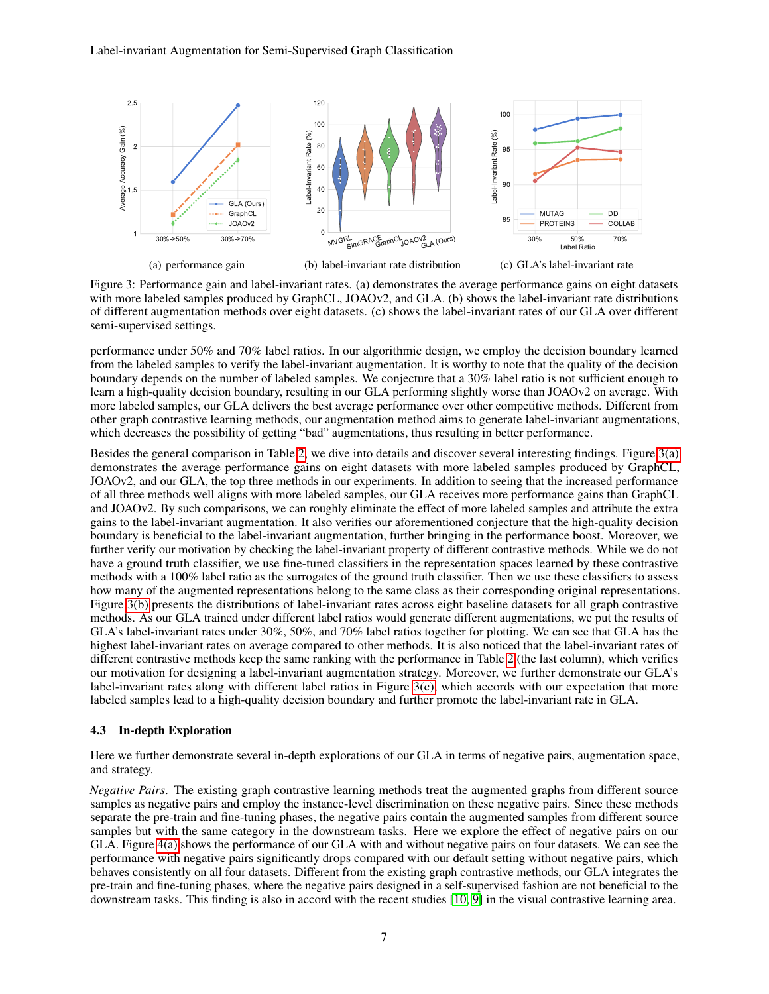<span id="page-6-0"></span>

<span id="page-6-2"></span><span id="page-6-1"></span>Figure 3: Performance gain and label-invariant rates. (a) demonstrates the average performance gains on eight datasets with more labeled samples produced by GraphCL, JOAOv2, and GLA. (b) shows the label-invariant rate distributions of different augmentation methods over eight datasets. (c) shows the label-invariant rates of our GLA over different semi-supervised settings.

performance under 50% and 70% label ratios. In our algorithmic design, we employ the decision boundary learned from the labeled samples to verify the label-invariant augmentation. It is worthy to note that the quality of the decision boundary depends on the number of labeled samples. We conjecture that a 30% label ratio is not sufficient enough to learn a high-quality decision boundary, resulting in our GLA performing slightly worse than JOAOv2 on average. With more labeled samples, our GLA delivers the best average performance over other competitive methods. Different from other graph contrastive learning methods, our augmentation method aims to generate label-invariant augmentations, which decreases the possibility of getting "bad" augmentations, thus resulting in better performance.

Besides the general comparison in Table [2,](#page-5-0) we dive into details and discover several interesting findings. Figure [3\(a\)](#page-6-0) demonstrates the average performance gains on eight datasets with more labeled samples produced by GraphCL, JOAOv2, and our GLA, the top three methods in our experiments. In addition to seeing that the increased performance of all three methods well aligns with more labeled samples, our GLA receives more performance gains than GraphCL and JOAOv2. By such comparisons, we can roughly eliminate the effect of more labeled samples and attribute the extra gains to the label-invariant augmentation. It also verifies our aforementioned conjecture that the high-quality decision boundary is beneficial to the label-invariant augmentation, further bringing in the performance boost. Moreover, we further verify our motivation by checking the label-invariant property of different contrastive methods. While we do not have a ground truth classifier, we use fine-tuned classifiers in the representation spaces learned by these contrastive methods with a 100% label ratio as the surrogates of the ground truth classifier. Then we use these classifiers to assess how many of the augmented representations belong to the same class as their corresponding original representations. Figure [3\(b\)](#page-6-1) presents the distributions of label-invariant rates across eight baseline datasets for all graph contrastive methods. As our GLA trained under different label ratios would generate different augmentations, we put the results of GLA's label-invariant rates under 30%, 50%, and 70% label ratios together for plotting. We can see that GLA has the highest label-invariant rates on average compared to other methods. It is also noticed that the label-invariant rates of different contrastive methods keep the same ranking with the performance in Table [2](#page-5-0) (the last column), which verifies our motivation for designing a label-invariant augmentation strategy. Moreover, we further demonstrate our GLA's label-invariant rates along with different label ratios in Figure [3\(c\),](#page-6-2) which accords with our expectation that more labeled samples lead to a high-quality decision boundary and further promote the label-invariant rate in GLA.

## 4.3 In-depth Exploration

Here we further demonstrate several in-depth explorations of our GLA in terms of negative pairs, augmentation space, and strategy.

*Negative Pairs*. The existing graph contrastive learning methods treat the augmented graphs from different source samples as negative pairs and employ the instance-level discrimination on these negative pairs. Since these methods separate the pre-train and fine-tuning phases, the negative pairs contain the augmented samples from different source samples but with the same category in the downstream tasks. Here we explore the effect of negative pairs on our GLA. Figure [4\(a\)](#page-7-0) shows the performance of our GLA with and without negative pairs on four datasets. We can see the performance with negative pairs significantly drops compared with our default setting without negative pairs, which behaves consistently on all four datasets. Different from the existing graph contrastive methods, our GLA integrates the pre-train and fine-tuning phases, where the negative pairs designed in a self-supervised fashion are not beneficial to the downstream tasks. This finding is also in accord with the recent studies [\[10,](#page-8-9) [9\]](#page-8-8) in the visual contrastive learning area.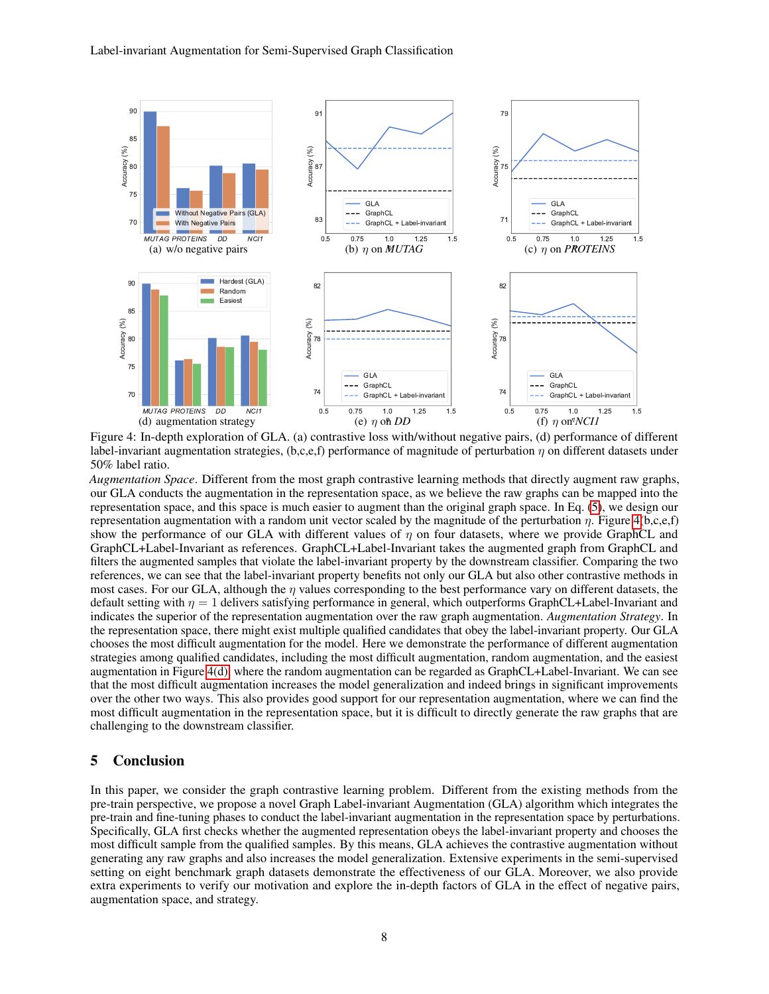<span id="page-7-2"></span><span id="page-7-0"></span>

<span id="page-7-1"></span>Figure 4: In-depth exploration of GLA. (a) contrastive loss with/without negative pairs, (d) performance of different label-invariant augmentation strategies, (b,c,e,f) performance of magnitude of perturbation  $\eta$  on different datasets under 50% label ratio.

*Augmentation Space*. Different from the most graph contrastive learning methods that directly augment raw graphs, our GLA conducts the augmentation in the representation space, as we believe the raw graphs can be mapped into the representation space, and this space is much easier to augment than the original graph space. In Eq. [\(5\)](#page-3-1), we design our representation augmentation with a random unit vector scaled by the magnitude of the perturbation η. Figure [4\(](#page-7-1)b,c,e,f) show the performance of our GLA with different values of  $\eta$  on four datasets, where we provide GraphCL and GraphCL+Label-Invariant as references. GraphCL+Label-Invariant takes the augmented graph from GraphCL and filters the augmented samples that violate the label-invariant property by the downstream classifier. Comparing the two references, we can see that the label-invariant property benefits not only our GLA but also other contrastive methods in most cases. For our GLA, although the  $\eta$  values corresponding to the best performance vary on different datasets, the default setting with  $\eta = 1$  delivers satisfying performance in general, which outperforms GraphCL+Label-Invariant and indicates the superior of the representation augmentation over the raw graph augmentation. *Augmentation Strategy*. In the representation space, there might exist multiple qualified candidates that obey the label-invariant property. Our GLA chooses the most difficult augmentation for the model. Here we demonstrate the performance of different augmentation strategies among qualified candidates, including the most difficult augmentation, random augmentation, and the easiest augmentation in Figure [4\(d\),](#page-7-2) where the random augmentation can be regarded as GraphCL+Label-Invariant. We can see that the most difficult augmentation increases the model generalization and indeed brings in significant improvements over the other two ways. This also provides good support for our representation augmentation, where we can find the most difficult augmentation in the representation space, but it is difficult to directly generate the raw graphs that are challenging to the downstream classifier.

#### 5 Conclusion

In this paper, we consider the graph contrastive learning problem. Different from the existing methods from the pre-train perspective, we propose a novel Graph Label-invariant Augmentation (GLA) algorithm which integrates the pre-train and fine-tuning phases to conduct the label-invariant augmentation in the representation space by perturbations. Specifically, GLA first checks whether the augmented representation obeys the label-invariant property and chooses the most difficult sample from the qualified samples. By this means, GLA achieves the contrastive augmentation without generating any raw graphs and also increases the model generalization. Extensive experiments in the semi-supervised setting on eight benchmark graph datasets demonstrate the effectiveness of our GLA. Moreover, we also provide extra experiments to verify our motivation and explore the in-depth factors of GLA in the effect of negative pairs, augmentation space, and strategy.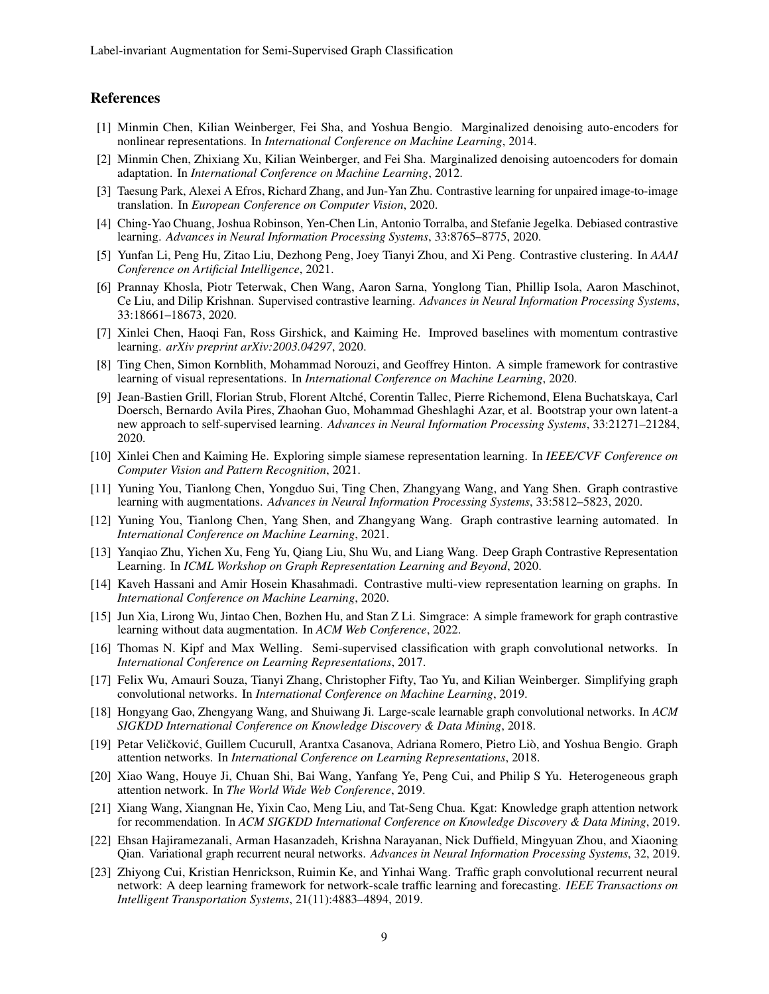## References

- <span id="page-8-0"></span>[1] Minmin Chen, Kilian Weinberger, Fei Sha, and Yoshua Bengio. Marginalized denoising auto-encoders for nonlinear representations. In *International Conference on Machine Learning*, 2014.
- <span id="page-8-1"></span>[2] Minmin Chen, Zhixiang Xu, Kilian Weinberger, and Fei Sha. Marginalized denoising autoencoders for domain adaptation. In *International Conference on Machine Learning*, 2012.
- <span id="page-8-2"></span>[3] Taesung Park, Alexei A Efros, Richard Zhang, and Jun-Yan Zhu. Contrastive learning for unpaired image-to-image translation. In *European Conference on Computer Vision*, 2020.
- <span id="page-8-3"></span>[4] Ching-Yao Chuang, Joshua Robinson, Yen-Chen Lin, Antonio Torralba, and Stefanie Jegelka. Debiased contrastive learning. *Advances in Neural Information Processing Systems*, 33:8765–8775, 2020.
- <span id="page-8-4"></span>[5] Yunfan Li, Peng Hu, Zitao Liu, Dezhong Peng, Joey Tianyi Zhou, and Xi Peng. Contrastive clustering. In *AAAI Conference on Artificial Intelligence*, 2021.
- <span id="page-8-5"></span>[6] Prannay Khosla, Piotr Teterwak, Chen Wang, Aaron Sarna, Yonglong Tian, Phillip Isola, Aaron Maschinot, Ce Liu, and Dilip Krishnan. Supervised contrastive learning. *Advances in Neural Information Processing Systems*, 33:18661–18673, 2020.
- <span id="page-8-6"></span>[7] Xinlei Chen, Haoqi Fan, Ross Girshick, and Kaiming He. Improved baselines with momentum contrastive learning. *arXiv preprint arXiv:2003.04297*, 2020.
- <span id="page-8-7"></span>[8] Ting Chen, Simon Kornblith, Mohammad Norouzi, and Geoffrey Hinton. A simple framework for contrastive learning of visual representations. In *International Conference on Machine Learning*, 2020.
- <span id="page-8-8"></span>[9] Jean-Bastien Grill, Florian Strub, Florent Altché, Corentin Tallec, Pierre Richemond, Elena Buchatskaya, Carl Doersch, Bernardo Avila Pires, Zhaohan Guo, Mohammad Gheshlaghi Azar, et al. Bootstrap your own latent-a new approach to self-supervised learning. *Advances in Neural Information Processing Systems*, 33:21271–21284, 2020.
- <span id="page-8-9"></span>[10] Xinlei Chen and Kaiming He. Exploring simple siamese representation learning. In *IEEE/CVF Conference on Computer Vision and Pattern Recognition*, 2021.
- <span id="page-8-10"></span>[11] Yuning You, Tianlong Chen, Yongduo Sui, Ting Chen, Zhangyang Wang, and Yang Shen. Graph contrastive learning with augmentations. *Advances in Neural Information Processing Systems*, 33:5812–5823, 2020.
- <span id="page-8-11"></span>[12] Yuning You, Tianlong Chen, Yang Shen, and Zhangyang Wang. Graph contrastive learning automated. In *International Conference on Machine Learning*, 2021.
- <span id="page-8-12"></span>[13] Yanqiao Zhu, Yichen Xu, Feng Yu, Qiang Liu, Shu Wu, and Liang Wang. Deep Graph Contrastive Representation Learning. In *ICML Workshop on Graph Representation Learning and Beyond*, 2020.
- <span id="page-8-13"></span>[14] Kaveh Hassani and Amir Hosein Khasahmadi. Contrastive multi-view representation learning on graphs. In *International Conference on Machine Learning*, 2020.
- <span id="page-8-14"></span>[15] Jun Xia, Lirong Wu, Jintao Chen, Bozhen Hu, and Stan Z Li. Simgrace: A simple framework for graph contrastive learning without data augmentation. In *ACM Web Conference*, 2022.
- <span id="page-8-15"></span>[16] Thomas N. Kipf and Max Welling. Semi-supervised classification with graph convolutional networks. In *International Conference on Learning Representations*, 2017.
- <span id="page-8-16"></span>[17] Felix Wu, Amauri Souza, Tianyi Zhang, Christopher Fifty, Tao Yu, and Kilian Weinberger. Simplifying graph convolutional networks. In *International Conference on Machine Learning*, 2019.
- <span id="page-8-17"></span>[18] Hongyang Gao, Zhengyang Wang, and Shuiwang Ji. Large-scale learnable graph convolutional networks. In *ACM SIGKDD International Conference on Knowledge Discovery & Data Mining*, 2018.
- <span id="page-8-18"></span>[19] Petar Veličković, Guillem Cucurull, Arantxa Casanova, Adriana Romero, Pietro Liò, and Yoshua Bengio. Graph attention networks. In *International Conference on Learning Representations*, 2018.
- <span id="page-8-19"></span>[20] Xiao Wang, Houye Ji, Chuan Shi, Bai Wang, Yanfang Ye, Peng Cui, and Philip S Yu. Heterogeneous graph attention network. In *The World Wide Web Conference*, 2019.
- <span id="page-8-20"></span>[21] Xiang Wang, Xiangnan He, Yixin Cao, Meng Liu, and Tat-Seng Chua. Kgat: Knowledge graph attention network for recommendation. In *ACM SIGKDD International Conference on Knowledge Discovery & Data Mining*, 2019.
- <span id="page-8-21"></span>[22] Ehsan Hajiramezanali, Arman Hasanzadeh, Krishna Narayanan, Nick Duffield, Mingyuan Zhou, and Xiaoning Qian. Variational graph recurrent neural networks. *Advances in Neural Information Processing Systems*, 32, 2019.
- <span id="page-8-22"></span>[23] Zhiyong Cui, Kristian Henrickson, Ruimin Ke, and Yinhai Wang. Traffic graph convolutional recurrent neural network: A deep learning framework for network-scale traffic learning and forecasting. *IEEE Transactions on Intelligent Transportation Systems*, 21(11):4883–4894, 2019.